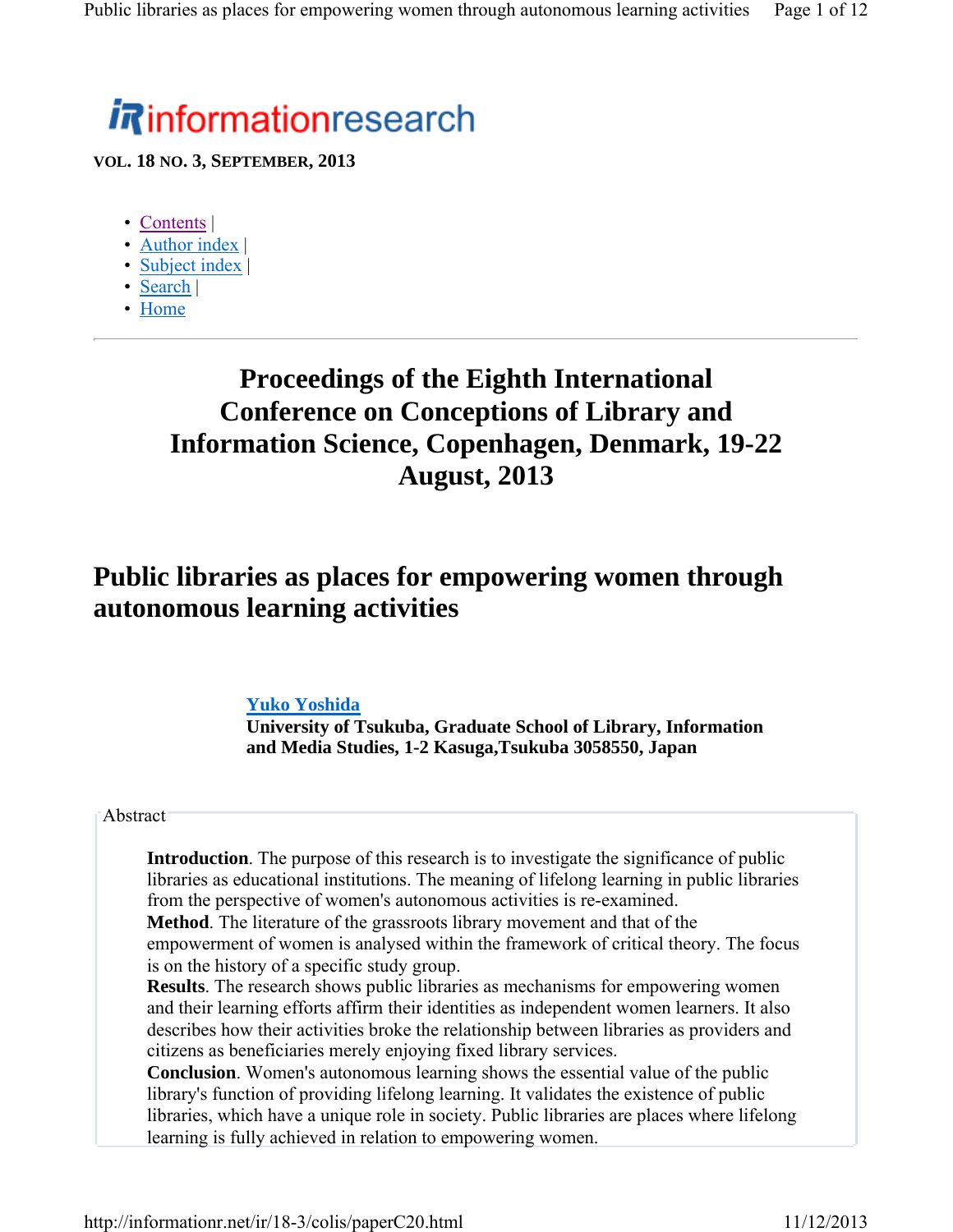# *i R*informationresearch

**VOL. 18 NO. 3, SEPTEMBER, 2013**

- Contents |
- Author index |
- Subject index |
- Search |
- Home

# **Proceedings of the Eighth International Conference on Conceptions of Library and Information Science, Copenhagen, Denmark, 19-22 August, 2013**

## **Public libraries as places for empowering women through autonomous learning activities**

#### **Yuko Yoshida**

**University of Tsukuba, Graduate School of Library, Information and Media Studies, 1-2 Kasuga,Tsukuba 3058550, Japan**

#### **Abstract**

**Introduction**. The purpose of this research is to investigate the significance of public libraries as educational institutions. The meaning of lifelong learning in public libraries from the perspective of women's autonomous activities is re-examined.

**Method**. The literature of the grassroots library movement and that of the empowerment of women is analysed within the framework of critical theory. The focus is on the history of a specific study group.

**Results**. The research shows public libraries as mechanisms for empowering women and their learning efforts affirm their identities as independent women learners. It also describes how their activities broke the relationship between libraries as providers and citizens as beneficiaries merely enjoying fixed library services.

**Conclusion**. Women's autonomous learning shows the essential value of the public library's function of providing lifelong learning. It validates the existence of public libraries, which have a unique role in society. Public libraries are places where lifelong learning is fully achieved in relation to empowering women.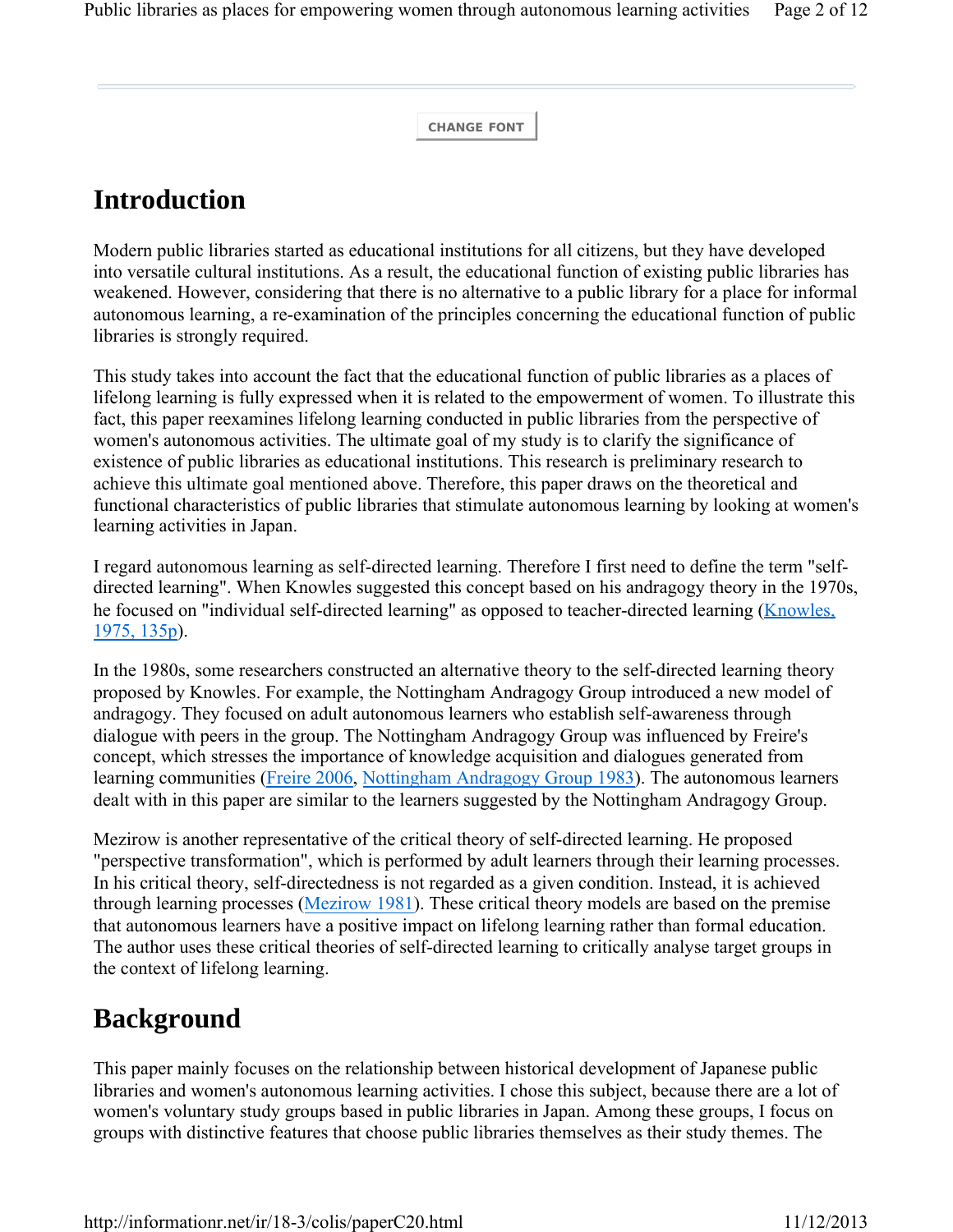**CHANGE FONT**

## **Introduction**

Modern public libraries started as educational institutions for all citizens, but they have developed into versatile cultural institutions. As a result, the educational function of existing public libraries has weakened. However, considering that there is no alternative to a public library for a place for informal autonomous learning, a re-examination of the principles concerning the educational function of public libraries is strongly required.

This study takes into account the fact that the educational function of public libraries as a places of lifelong learning is fully expressed when it is related to the empowerment of women. To illustrate this fact, this paper reexamines lifelong learning conducted in public libraries from the perspective of women's autonomous activities. The ultimate goal of my study is to clarify the significance of existence of public libraries as educational institutions. This research is preliminary research to achieve this ultimate goal mentioned above. Therefore, this paper draws on the theoretical and functional characteristics of public libraries that stimulate autonomous learning by looking at women's learning activities in Japan.

I regard autonomous learning as self-directed learning. Therefore I first need to define the term "selfdirected learning". When Knowles suggested this concept based on his andragogy theory in the 1970s, he focused on "individual self-directed learning" as opposed to teacher-directed learning (Knowles, 1975, 135p).

In the 1980s, some researchers constructed an alternative theory to the self-directed learning theory proposed by Knowles. For example, the Nottingham Andragogy Group introduced a new model of andragogy. They focused on adult autonomous learners who establish self-awareness through dialogue with peers in the group. The Nottingham Andragogy Group was influenced by Freire's concept, which stresses the importance of knowledge acquisition and dialogues generated from learning communities (Freire 2006, Nottingham Andragogy Group 1983). The autonomous learners dealt with in this paper are similar to the learners suggested by the Nottingham Andragogy Group.

Mezirow is another representative of the critical theory of self-directed learning. He proposed "perspective transformation", which is performed by adult learners through their learning processes. In his critical theory, self-directedness is not regarded as a given condition. Instead, it is achieved through learning processes (Mezirow 1981). These critical theory models are based on the premise that autonomous learners have a positive impact on lifelong learning rather than formal education. The author uses these critical theories of self-directed learning to critically analyse target groups in the context of lifelong learning.

## **Background**

This paper mainly focuses on the relationship between historical development of Japanese public libraries and women's autonomous learning activities. I chose this subject, because there are a lot of women's voluntary study groups based in public libraries in Japan. Among these groups, I focus on groups with distinctive features that choose public libraries themselves as their study themes. The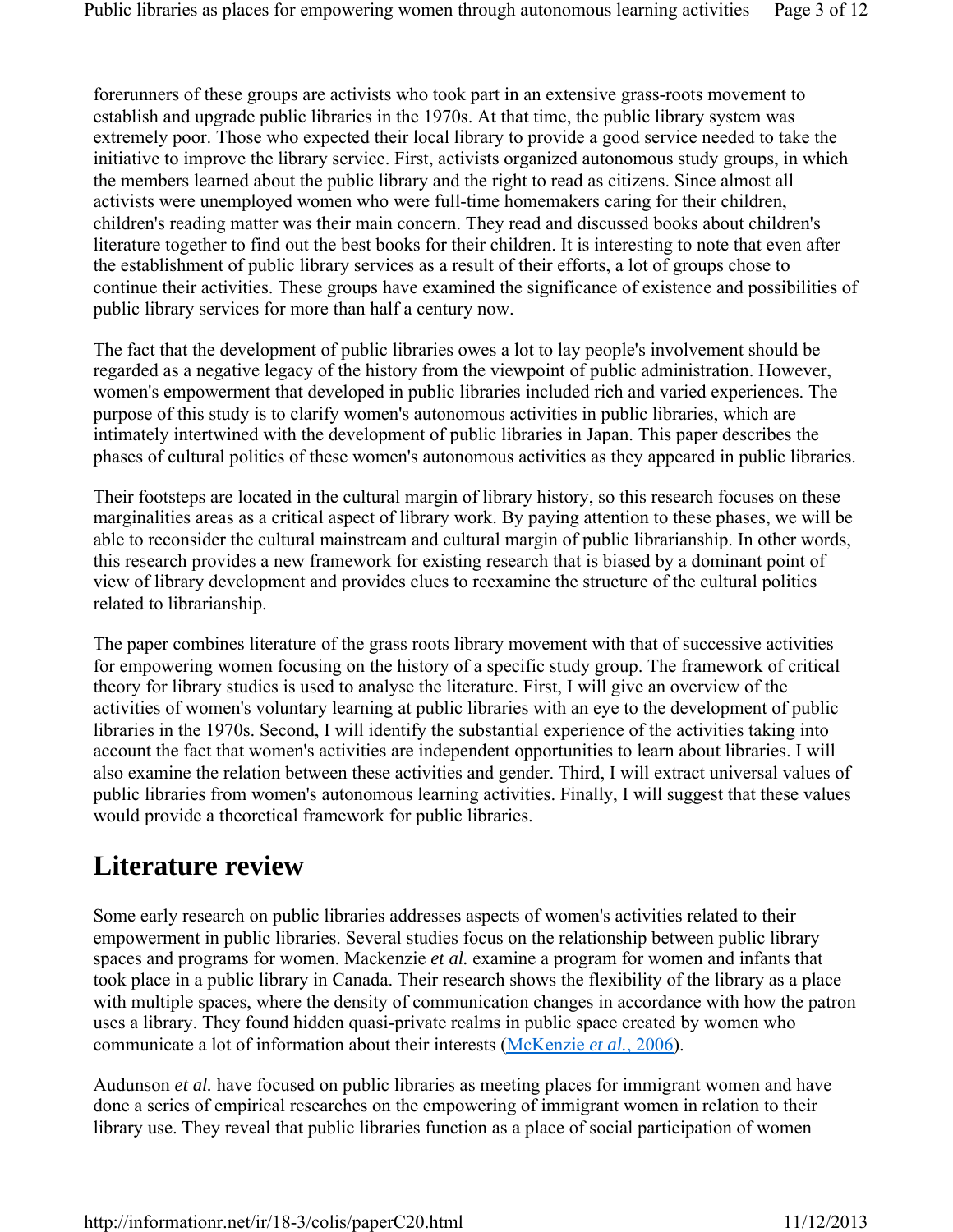forerunners of these groups are activists who took part in an extensive grass-roots movement to establish and upgrade public libraries in the 1970s. At that time, the public library system was extremely poor. Those who expected their local library to provide a good service needed to take the initiative to improve the library service. First, activists organized autonomous study groups, in which the members learned about the public library and the right to read as citizens. Since almost all activists were unemployed women who were full-time homemakers caring for their children, children's reading matter was their main concern. They read and discussed books about children's literature together to find out the best books for their children. It is interesting to note that even after the establishment of public library services as a result of their efforts, a lot of groups chose to continue their activities. These groups have examined the significance of existence and possibilities of public library services for more than half a century now.

The fact that the development of public libraries owes a lot to lay people's involvement should be regarded as a negative legacy of the history from the viewpoint of public administration. However, women's empowerment that developed in public libraries included rich and varied experiences. The purpose of this study is to clarify women's autonomous activities in public libraries, which are intimately intertwined with the development of public libraries in Japan. This paper describes the phases of cultural politics of these women's autonomous activities as they appeared in public libraries.

Their footsteps are located in the cultural margin of library history, so this research focuses on these marginalities areas as a critical aspect of library work. By paying attention to these phases, we will be able to reconsider the cultural mainstream and cultural margin of public librarianship. In other words, this research provides a new framework for existing research that is biased by a dominant point of view of library development and provides clues to reexamine the structure of the cultural politics related to librarianship.

The paper combines literature of the grass roots library movement with that of successive activities for empowering women focusing on the history of a specific study group. The framework of critical theory for library studies is used to analyse the literature. First, I will give an overview of the activities of women's voluntary learning at public libraries with an eye to the development of public libraries in the 1970s. Second, I will identify the substantial experience of the activities taking into account the fact that women's activities are independent opportunities to learn about libraries. I will also examine the relation between these activities and gender. Third, I will extract universal values of public libraries from women's autonomous learning activities. Finally, I will suggest that these values would provide a theoretical framework for public libraries.

# **Literature review**

Some early research on public libraries addresses aspects of women's activities related to their empowerment in public libraries. Several studies focus on the relationship between public library spaces and programs for women. Mackenzie *et al.* examine a program for women and infants that took place in a public library in Canada. Their research shows the flexibility of the library as a place with multiple spaces, where the density of communication changes in accordance with how the patron uses a library. They found hidden quasi-private realms in public space created by women who communicate a lot of information about their interests (McKenzie *et al.*, 2006).

Audunson *et al.* have focused on public libraries as meeting places for immigrant women and have done a series of empirical researches on the empowering of immigrant women in relation to their library use. They reveal that public libraries function as a place of social participation of women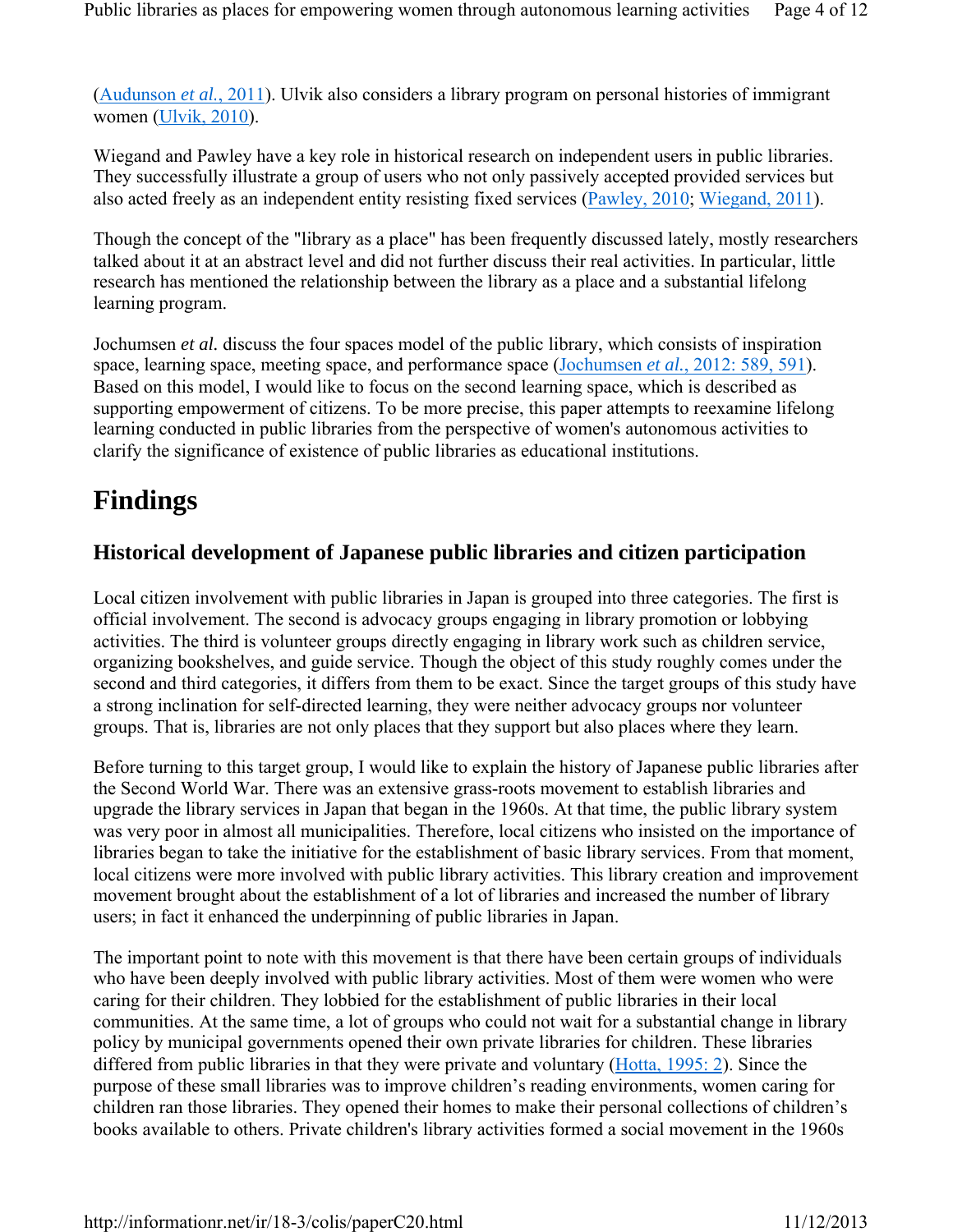(Audunson *et al.*, 2011). Ulvik also considers a library program on personal histories of immigrant women (Ulvik, 2010).

Wiegand and Pawley have a key role in historical research on independent users in public libraries. They successfully illustrate a group of users who not only passively accepted provided services but also acted freely as an independent entity resisting fixed services (Pawley, 2010; Wiegand, 2011).

Though the concept of the "library as a place" has been frequently discussed lately, mostly researchers talked about it at an abstract level and did not further discuss their real activities. In particular, little research has mentioned the relationship between the library as a place and a substantial lifelong learning program.

Jochumsen *et al.* discuss the four spaces model of the public library, which consists of inspiration space, learning space, meeting space, and performance space (Jochumsen *et al.*, 2012: 589, 591). Based on this model, I would like to focus on the second learning space, which is described as supporting empowerment of citizens. To be more precise, this paper attempts to reexamine lifelong learning conducted in public libraries from the perspective of women's autonomous activities to clarify the significance of existence of public libraries as educational institutions.

# **Findings**

### **Historical development of Japanese public libraries and citizen participation**

Local citizen involvement with public libraries in Japan is grouped into three categories. The first is official involvement. The second is advocacy groups engaging in library promotion or lobbying activities. The third is volunteer groups directly engaging in library work such as children service, organizing bookshelves, and guide service. Though the object of this study roughly comes under the second and third categories, it differs from them to be exact. Since the target groups of this study have a strong inclination for self-directed learning, they were neither advocacy groups nor volunteer groups. That is, libraries are not only places that they support but also places where they learn.

Before turning to this target group, I would like to explain the history of Japanese public libraries after the Second World War. There was an extensive grass-roots movement to establish libraries and upgrade the library services in Japan that began in the 1960s. At that time, the public library system was very poor in almost all municipalities. Therefore, local citizens who insisted on the importance of libraries began to take the initiative for the establishment of basic library services. From that moment, local citizens were more involved with public library activities. This library creation and improvement movement brought about the establishment of a lot of libraries and increased the number of library users; in fact it enhanced the underpinning of public libraries in Japan.

The important point to note with this movement is that there have been certain groups of individuals who have been deeply involved with public library activities. Most of them were women who were caring for their children. They lobbied for the establishment of public libraries in their local communities. At the same time, a lot of groups who could not wait for a substantial change in library policy by municipal governments opened their own private libraries for children. These libraries differed from public libraries in that they were private and voluntary (Hotta, 1995: 2). Since the purpose of these small libraries was to improve children's reading environments, women caring for children ran those libraries. They opened their homes to make their personal collections of children's books available to others. Private children's library activities formed a social movement in the 1960s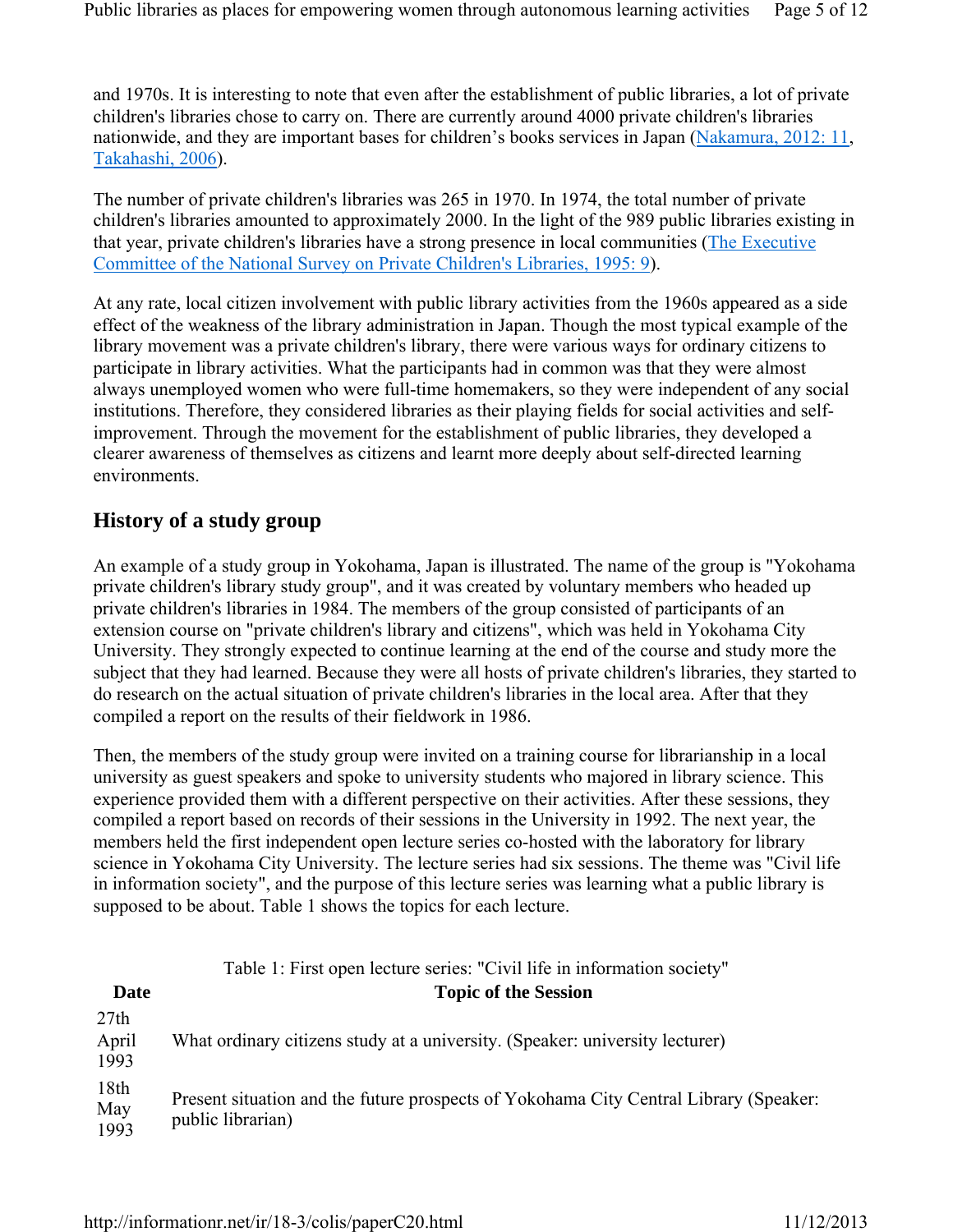and 1970s. It is interesting to note that even after the establishment of public libraries, a lot of private children's libraries chose to carry on. There are currently around 4000 private children's libraries nationwide, and they are important bases for children's books services in Japan (Nakamura, 2012: 11, Takahashi, 2006).

The number of private children's libraries was 265 in 1970. In 1974, the total number of private children's libraries amounted to approximately 2000. In the light of the 989 public libraries existing in that year, private children's libraries have a strong presence in local communities (The Executive Committee of the National Survey on Private Children's Libraries, 1995: 9).

At any rate, local citizen involvement with public library activities from the 1960s appeared as a side effect of the weakness of the library administration in Japan. Though the most typical example of the library movement was a private children's library, there were various ways for ordinary citizens to participate in library activities. What the participants had in common was that they were almost always unemployed women who were full-time homemakers, so they were independent of any social institutions. Therefore, they considered libraries as their playing fields for social activities and selfimprovement. Through the movement for the establishment of public libraries, they developed a clearer awareness of themselves as citizens and learnt more deeply about self-directed learning environments.

### **History of a study group**

An example of a study group in Yokohama, Japan is illustrated. The name of the group is "Yokohama private children's library study group", and it was created by voluntary members who headed up private children's libraries in 1984. The members of the group consisted of participants of an extension course on "private children's library and citizens", which was held in Yokohama City University. They strongly expected to continue learning at the end of the course and study more the subject that they had learned. Because they were all hosts of private children's libraries, they started to do research on the actual situation of private children's libraries in the local area. After that they compiled a report on the results of their fieldwork in 1986.

Then, the members of the study group were invited on a training course for librarianship in a local university as guest speakers and spoke to university students who majored in library science. This experience provided them with a different perspective on their activities. After these sessions, they compiled a report based on records of their sessions in the University in 1992. The next year, the members held the first independent open lecture series co-hosted with the laboratory for library science in Yokohama City University. The lecture series had six sessions. The theme was "Civil life in information society", and the purpose of this lecture series was learning what a public library is supposed to be about. Table 1 shows the topics for each lecture.

|                       | Table 1: First open lecture series: "Civil life in information society"                                    |
|-----------------------|------------------------------------------------------------------------------------------------------------|
| Date                  | <b>Topic of the Session</b>                                                                                |
| 27th<br>April<br>1993 | What ordinary citizens study at a university. (Speaker: university lecturer)                               |
| 18th<br>May<br>1993   | Present situation and the future prospects of Yokohama City Central Library (Speaker:<br>public librarian) |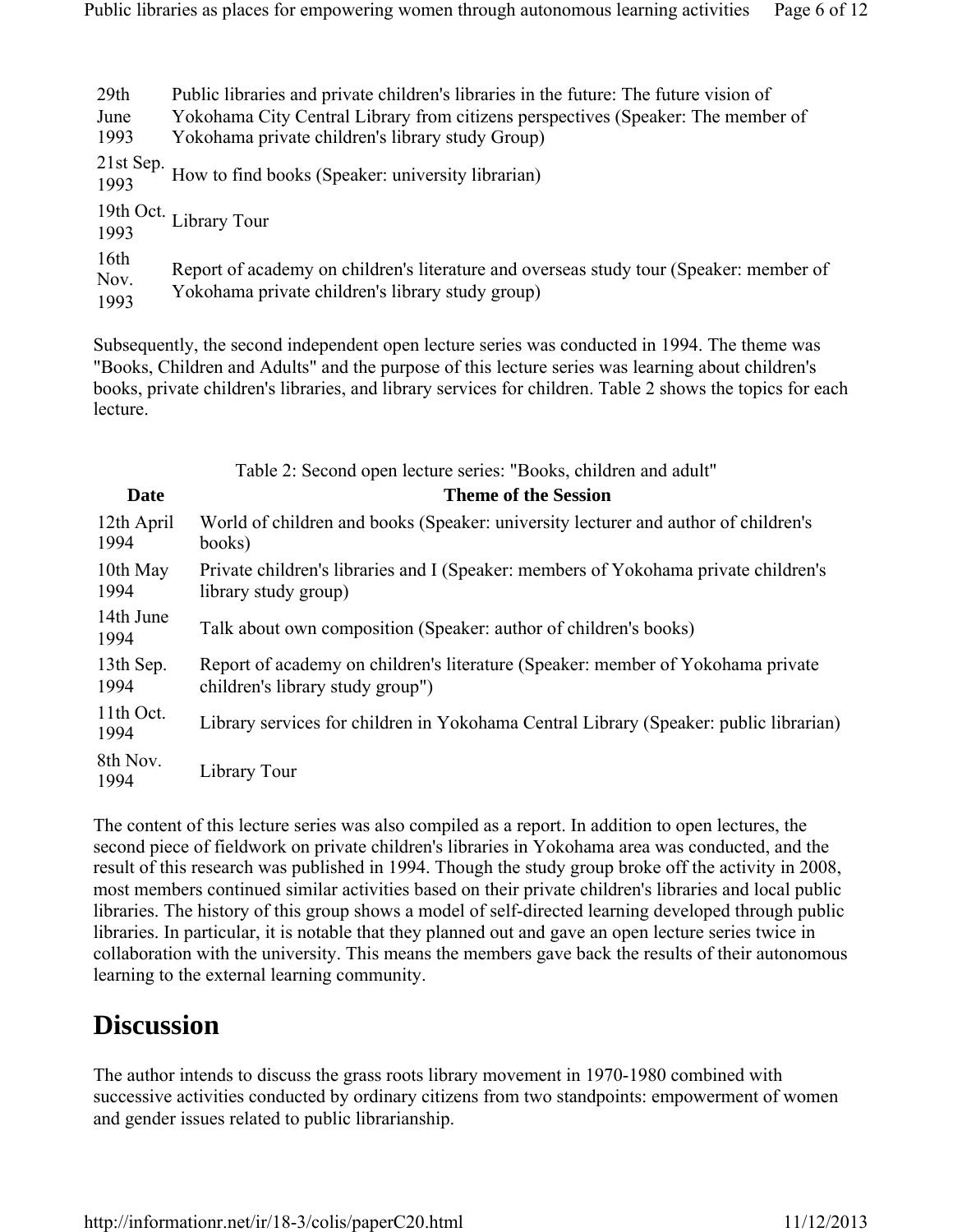| 29th                             | Public libraries and private children's libraries in the future. The future vision of                                                      |
|----------------------------------|--------------------------------------------------------------------------------------------------------------------------------------------|
| June                             | Yokohama City Central Library from citizens perspectives (Speaker: The member of                                                           |
| 1993                             | Yokohama private children's library study Group)                                                                                           |
| 21st Sep.<br>1993                | How to find books (Speaker: university librarian)                                                                                          |
|                                  | 19th Oct. Library Tour<br>1993                                                                                                             |
| 16 <sup>th</sup><br>Nov.<br>1993 | Report of academy on children's literature and overseas study tour (Speaker: member of<br>Yokohama private children's library study group) |

Subsequently, the second independent open lecture series was conducted in 1994. The theme was "Books, Children and Adults" and the purpose of this lecture series was learning about children's books, private children's libraries, and library services for children. Table 2 shows the topics for each lecture.

|                    | Table 2: Second open lecture series: "Books, children and adult"                                                    |
|--------------------|---------------------------------------------------------------------------------------------------------------------|
| <b>Date</b>        | <b>Theme of the Session</b>                                                                                         |
| 12th April<br>1994 | World of children and books (Speaker: university lecturer and author of children's<br>books)                        |
| 10th May<br>1994   | Private children's libraries and I (Speaker: members of Yokohama private children's<br>library study group)         |
| 14th June<br>1994  | Talk about own composition (Speaker: author of children's books)                                                    |
| 13th Sep.<br>1994  | Report of academy on children's literature (Speaker: member of Yokohama private<br>children's library study group") |
| 11th Oct.<br>1994  | Library services for children in Yokohama Central Library (Speaker: public librarian)                               |
| 8th Nov.<br>1994   | Library Tour                                                                                                        |

The content of this lecture series was also compiled as a report. In addition to open lectures, the second piece of fieldwork on private children's libraries in Yokohama area was conducted, and the result of this research was published in 1994. Though the study group broke off the activity in 2008, most members continued similar activities based on their private children's libraries and local public libraries. The history of this group shows a model of self-directed learning developed through public libraries. In particular, it is notable that they planned out and gave an open lecture series twice in collaboration with the university. This means the members gave back the results of their autonomous learning to the external learning community.

## **Discussion**

The author intends to discuss the grass roots library movement in 1970-1980 combined with successive activities conducted by ordinary citizens from two standpoints: empowerment of women and gender issues related to public librarianship.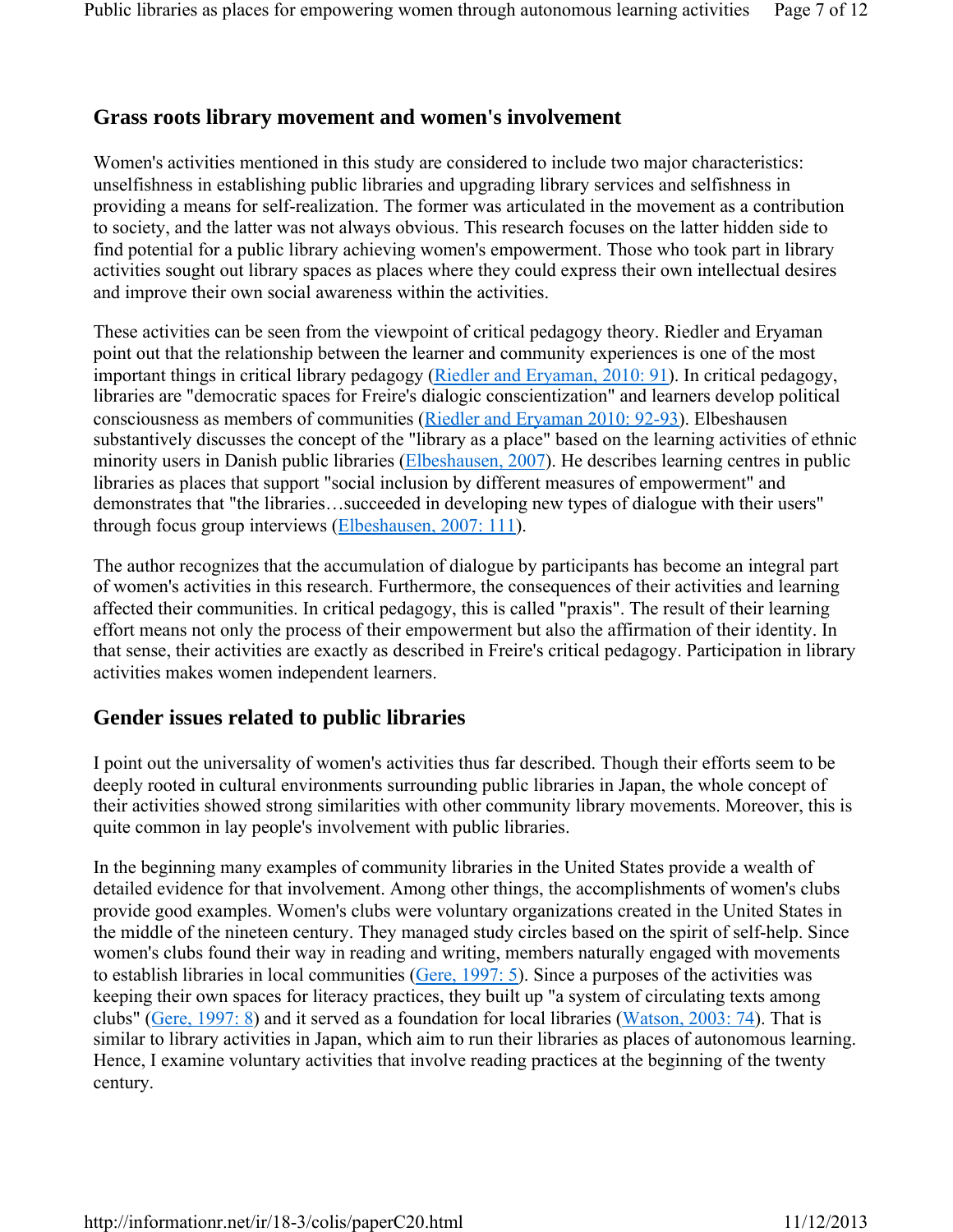#### **Grass roots library movement and women's involvement**

Women's activities mentioned in this study are considered to include two major characteristics: unselfishness in establishing public libraries and upgrading library services and selfishness in providing a means for self-realization. The former was articulated in the movement as a contribution to society, and the latter was not always obvious. This research focuses on the latter hidden side to find potential for a public library achieving women's empowerment. Those who took part in library activities sought out library spaces as places where they could express their own intellectual desires and improve their own social awareness within the activities.

These activities can be seen from the viewpoint of critical pedagogy theory. Riedler and Eryaman point out that the relationship between the learner and community experiences is one of the most important things in critical library pedagogy (Riedler and Eryaman, 2010: 91). In critical pedagogy, libraries are "democratic spaces for Freire's dialogic conscientization" and learners develop political consciousness as members of communities (Riedler and Eryaman 2010: 92-93). Elbeshausen substantively discusses the concept of the "library as a place" based on the learning activities of ethnic minority users in Danish public libraries (Elbeshausen, 2007). He describes learning centres in public libraries as places that support "social inclusion by different measures of empowerment" and demonstrates that "the libraries…succeeded in developing new types of dialogue with their users" through focus group interviews (Elbeshausen, 2007: 111).

The author recognizes that the accumulation of dialogue by participants has become an integral part of women's activities in this research. Furthermore, the consequences of their activities and learning affected their communities. In critical pedagogy, this is called "praxis". The result of their learning effort means not only the process of their empowerment but also the affirmation of their identity. In that sense, their activities are exactly as described in Freire's critical pedagogy. Participation in library activities makes women independent learners.

#### **Gender issues related to public libraries**

I point out the universality of women's activities thus far described. Though their efforts seem to be deeply rooted in cultural environments surrounding public libraries in Japan, the whole concept of their activities showed strong similarities with other community library movements. Moreover, this is quite common in lay people's involvement with public libraries.

In the beginning many examples of community libraries in the United States provide a wealth of detailed evidence for that involvement. Among other things, the accomplishments of women's clubs provide good examples. Women's clubs were voluntary organizations created in the United States in the middle of the nineteen century. They managed study circles based on the spirit of self-help. Since women's clubs found their way in reading and writing, members naturally engaged with movements to establish libraries in local communities (Gere, 1997: 5). Since a purposes of the activities was keeping their own spaces for literacy practices, they built up "a system of circulating texts among clubs" (Gere, 1997: 8) and it served as a foundation for local libraries (Watson, 2003: 74). That is similar to library activities in Japan, which aim to run their libraries as places of autonomous learning. Hence, I examine voluntary activities that involve reading practices at the beginning of the twenty century.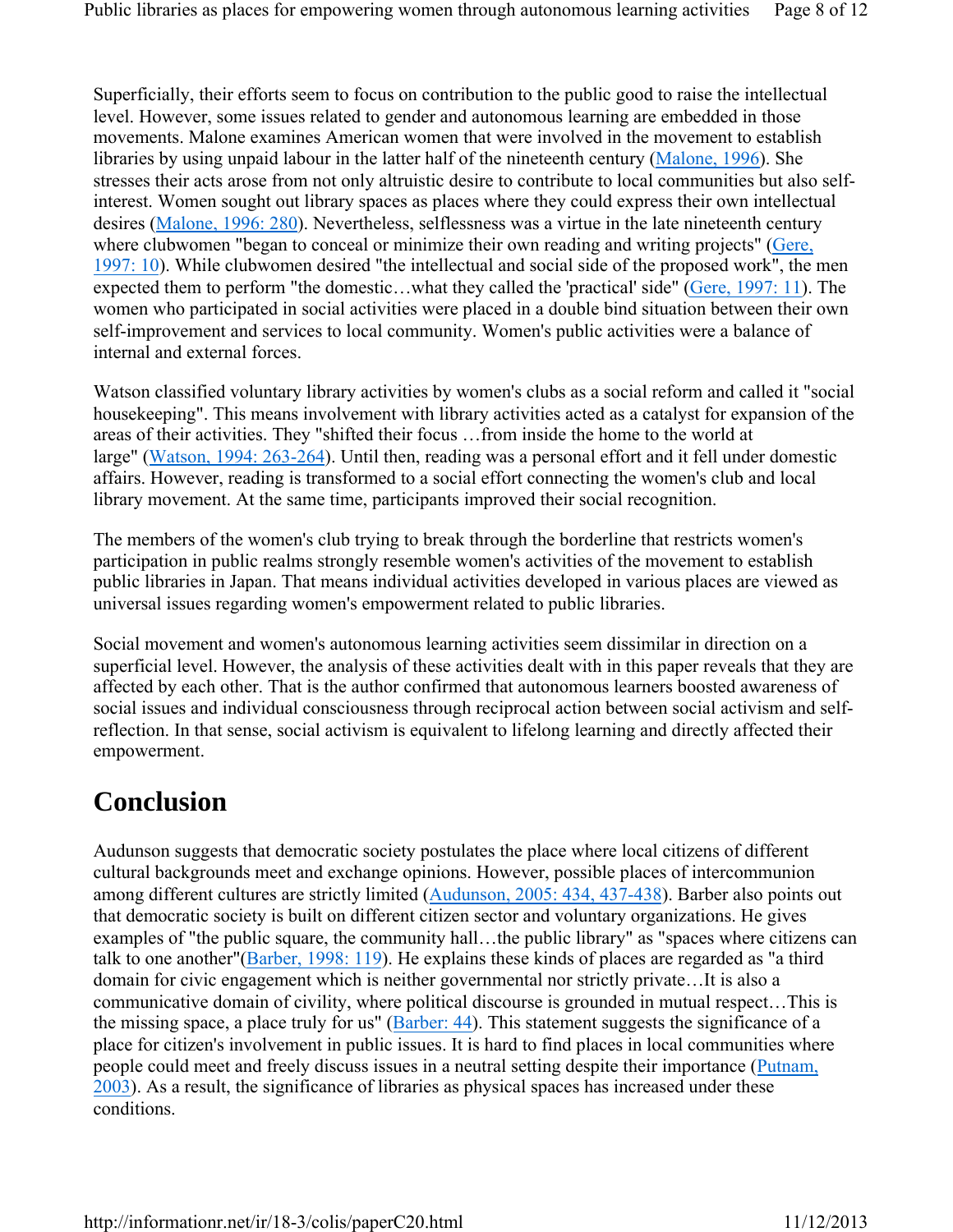Superficially, their efforts seem to focus on contribution to the public good to raise the intellectual level. However, some issues related to gender and autonomous learning are embedded in those movements. Malone examines American women that were involved in the movement to establish libraries by using unpaid labour in the latter half of the nineteenth century (Malone, 1996). She stresses their acts arose from not only altruistic desire to contribute to local communities but also selfinterest. Women sought out library spaces as places where they could express their own intellectual desires (Malone, 1996: 280). Nevertheless, selflessness was a virtue in the late nineteenth century where clubwomen "began to conceal or minimize their own reading and writing projects" (Gere, 1997: 10). While clubwomen desired "the intellectual and social side of the proposed work", the men expected them to perform "the domestic…what they called the 'practical' side" (Gere, 1997: 11). The women who participated in social activities were placed in a double bind situation between their own self-improvement and services to local community. Women's public activities were a balance of internal and external forces.

Watson classified voluntary library activities by women's clubs as a social reform and called it "social housekeeping". This means involvement with library activities acted as a catalyst for expansion of the areas of their activities. They "shifted their focus …from inside the home to the world at large" (Watson, 1994: 263-264). Until then, reading was a personal effort and it fell under domestic affairs. However, reading is transformed to a social effort connecting the women's club and local library movement. At the same time, participants improved their social recognition.

The members of the women's club trying to break through the borderline that restricts women's participation in public realms strongly resemble women's activities of the movement to establish public libraries in Japan. That means individual activities developed in various places are viewed as universal issues regarding women's empowerment related to public libraries.

Social movement and women's autonomous learning activities seem dissimilar in direction on a superficial level. However, the analysis of these activities dealt with in this paper reveals that they are affected by each other. That is the author confirmed that autonomous learners boosted awareness of social issues and individual consciousness through reciprocal action between social activism and selfreflection. In that sense, social activism is equivalent to lifelong learning and directly affected their empowerment.

## **Conclusion**

Audunson suggests that democratic society postulates the place where local citizens of different cultural backgrounds meet and exchange opinions. However, possible places of intercommunion among different cultures are strictly limited (Audunson, 2005: 434, 437-438). Barber also points out that democratic society is built on different citizen sector and voluntary organizations. He gives examples of "the public square, the community hall…the public library" as "spaces where citizens can talk to one another"(Barber, 1998: 119). He explains these kinds of places are regarded as "a third domain for civic engagement which is neither governmental nor strictly private…It is also a communicative domain of civility, where political discourse is grounded in mutual respect…This is the missing space, a place truly for us" (Barber: 44). This statement suggests the significance of a place for citizen's involvement in public issues. It is hard to find places in local communities where people could meet and freely discuss issues in a neutral setting despite their importance (Putnam, 2003). As a result, the significance of libraries as physical spaces has increased under these conditions.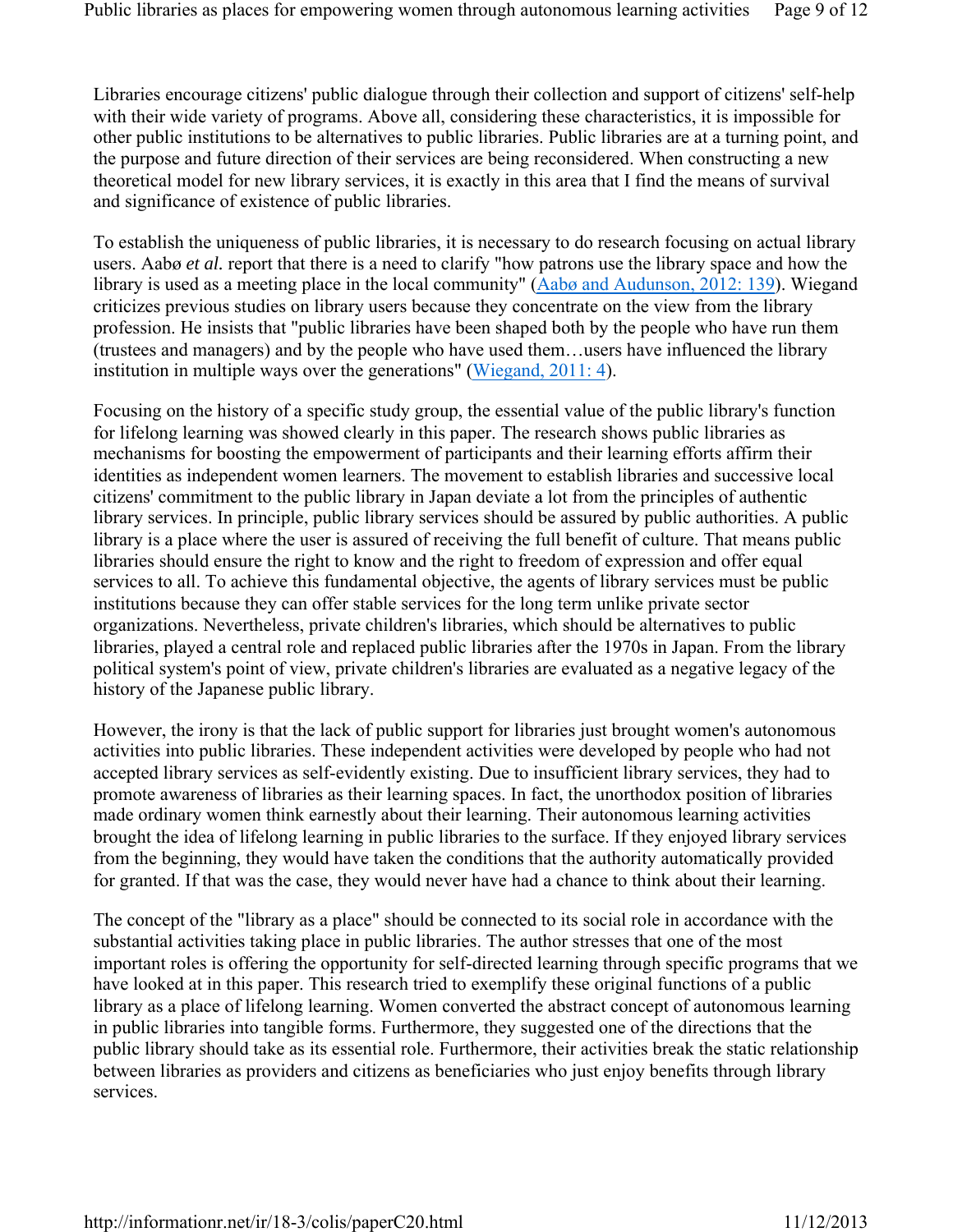Libraries encourage citizens' public dialogue through their collection and support of citizens' self-help with their wide variety of programs. Above all, considering these characteristics, it is impossible for other public institutions to be alternatives to public libraries. Public libraries are at a turning point, and the purpose and future direction of their services are being reconsidered. When constructing a new theoretical model for new library services, it is exactly in this area that I find the means of survival and significance of existence of public libraries.

To establish the uniqueness of public libraries, it is necessary to do research focusing on actual library users. Aabø *et al.* report that there is a need to clarify "how patrons use the library space and how the library is used as a meeting place in the local community" (Aabø and Audunson, 2012: 139). Wiegand criticizes previous studies on library users because they concentrate on the view from the library profession. He insists that "public libraries have been shaped both by the people who have run them (trustees and managers) and by the people who have used them…users have influenced the library institution in multiple ways over the generations" (Wiegand, 2011: 4).

Focusing on the history of a specific study group, the essential value of the public library's function for lifelong learning was showed clearly in this paper. The research shows public libraries as mechanisms for boosting the empowerment of participants and their learning efforts affirm their identities as independent women learners. The movement to establish libraries and successive local citizens' commitment to the public library in Japan deviate a lot from the principles of authentic library services. In principle, public library services should be assured by public authorities. A public library is a place where the user is assured of receiving the full benefit of culture. That means public libraries should ensure the right to know and the right to freedom of expression and offer equal services to all. To achieve this fundamental objective, the agents of library services must be public institutions because they can offer stable services for the long term unlike private sector organizations. Nevertheless, private children's libraries, which should be alternatives to public libraries, played a central role and replaced public libraries after the 1970s in Japan. From the library political system's point of view, private children's libraries are evaluated as a negative legacy of the history of the Japanese public library.

However, the irony is that the lack of public support for libraries just brought women's autonomous activities into public libraries. These independent activities were developed by people who had not accepted library services as self-evidently existing. Due to insufficient library services, they had to promote awareness of libraries as their learning spaces. In fact, the unorthodox position of libraries made ordinary women think earnestly about their learning. Their autonomous learning activities brought the idea of lifelong learning in public libraries to the surface. If they enjoyed library services from the beginning, they would have taken the conditions that the authority automatically provided for granted. If that was the case, they would never have had a chance to think about their learning.

The concept of the "library as a place" should be connected to its social role in accordance with the substantial activities taking place in public libraries. The author stresses that one of the most important roles is offering the opportunity for self-directed learning through specific programs that we have looked at in this paper. This research tried to exemplify these original functions of a public library as a place of lifelong learning. Women converted the abstract concept of autonomous learning in public libraries into tangible forms. Furthermore, they suggested one of the directions that the public library should take as its essential role. Furthermore, their activities break the static relationship between libraries as providers and citizens as beneficiaries who just enjoy benefits through library services.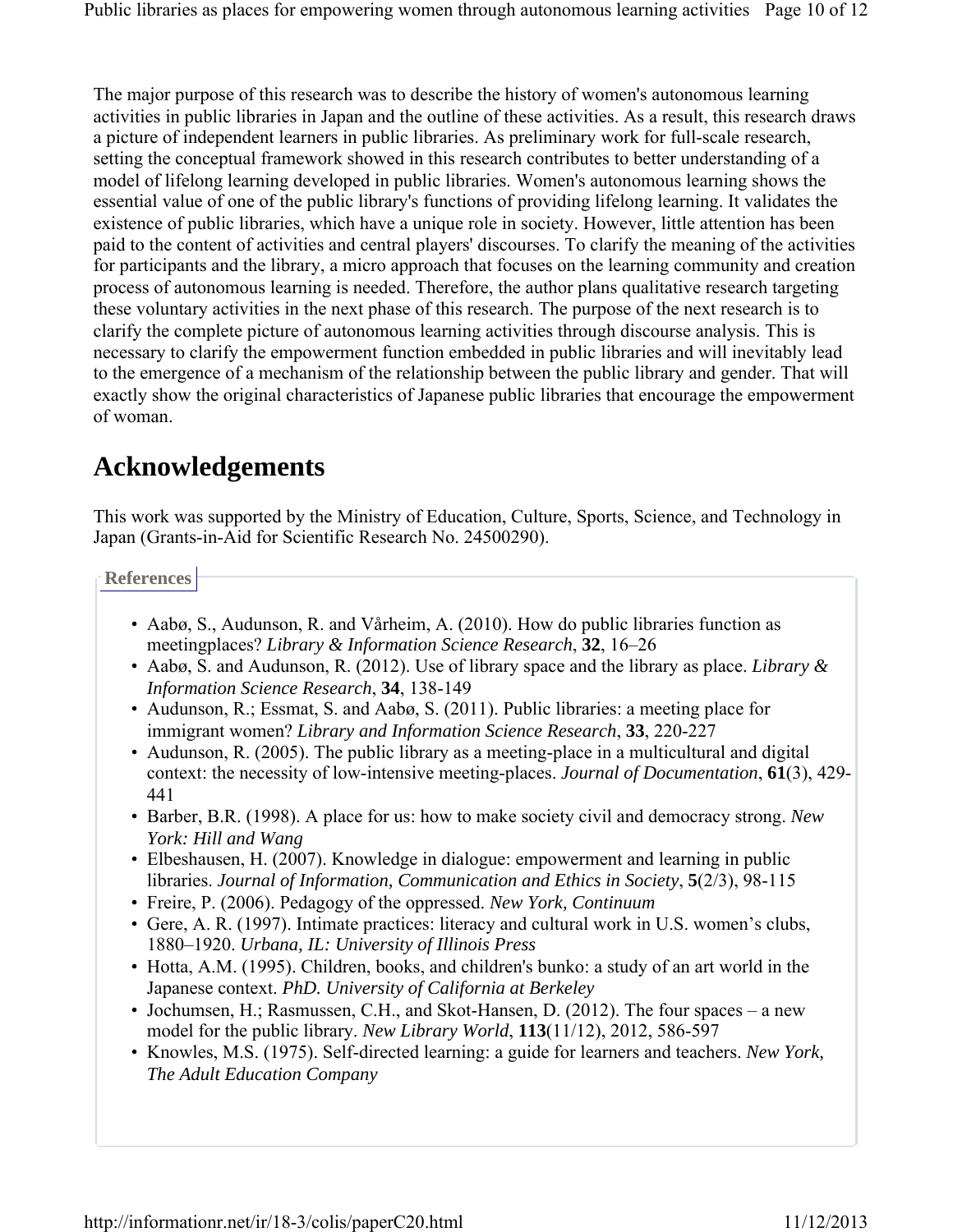The major purpose of this research was to describe the history of women's autonomous learning activities in public libraries in Japan and the outline of these activities. As a result, this research draws a picture of independent learners in public libraries. As preliminary work for full-scale research, setting the conceptual framework showed in this research contributes to better understanding of a model of lifelong learning developed in public libraries. Women's autonomous learning shows the essential value of one of the public library's functions of providing lifelong learning. It validates the existence of public libraries, which have a unique role in society. However, little attention has been paid to the content of activities and central players' discourses. To clarify the meaning of the activities for participants and the library, a micro approach that focuses on the learning community and creation process of autonomous learning is needed. Therefore, the author plans qualitative research targeting these voluntary activities in the next phase of this research. The purpose of the next research is to clarify the complete picture of autonomous learning activities through discourse analysis. This is necessary to clarify the empowerment function embedded in public libraries and will inevitably lead to the emergence of a mechanism of the relationship between the public library and gender. That will exactly show the original characteristics of Japanese public libraries that encourage the empowerment of woman.

# **Acknowledgements**

This work was supported by the Ministry of Education, Culture, Sports, Science, and Technology in Japan (Grants-in-Aid for Scientific Research No. 24500290).

**References**

- Aabø, S., Audunson, R. and Vårheim, A. (2010). How do public libraries function as meetingplaces? *Library & Information Science Research*, **32**, 16–26
- Aabø, S. and Audunson, R. (2012). Use of library space and the library as place. *Library & Information Science Research*, **34**, 138-149
- Audunson, R.; Essmat, S. and Aabø, S. (2011). Public libraries: a meeting place for immigrant women? *Library and Information Science Research*, **33**, 220-227
- Audunson, R. (2005). The public library as a meeting-place in a multicultural and digital context: the necessity of low-intensive meeting-places. *Journal of Documentation*, **61**(3), 429- 441
- Barber, B.R. (1998). A place for us: how to make society civil and democracy strong. *New York: Hill and Wang*
- Elbeshausen, H. (2007). Knowledge in dialogue: empowerment and learning in public libraries. *Journal of Information, Communication and Ethics in Society*, **5**(2/3), 98-115
- Freire, P. (2006). Pedagogy of the oppressed. *New York, Continuum*
- Gere, A. R. (1997). Intimate practices: literacy and cultural work in U.S. women's clubs, 1880–1920. *Urbana, IL: University of Illinois Press*
- Hotta, A.M. (1995). Children, books, and children's bunko: a study of an art world in the Japanese context. *PhD. University of California at Berkeley*
- Jochumsen, H.; Rasmussen, C.H., and Skot-Hansen, D. (2012). The four spaces a new model for the public library. *New Library World*, **113**(11/12), 2012, 586-597
- Knowles, M.S. (1975). Self-directed learning: a guide for learners and teachers. *New York, The Adult Education Company*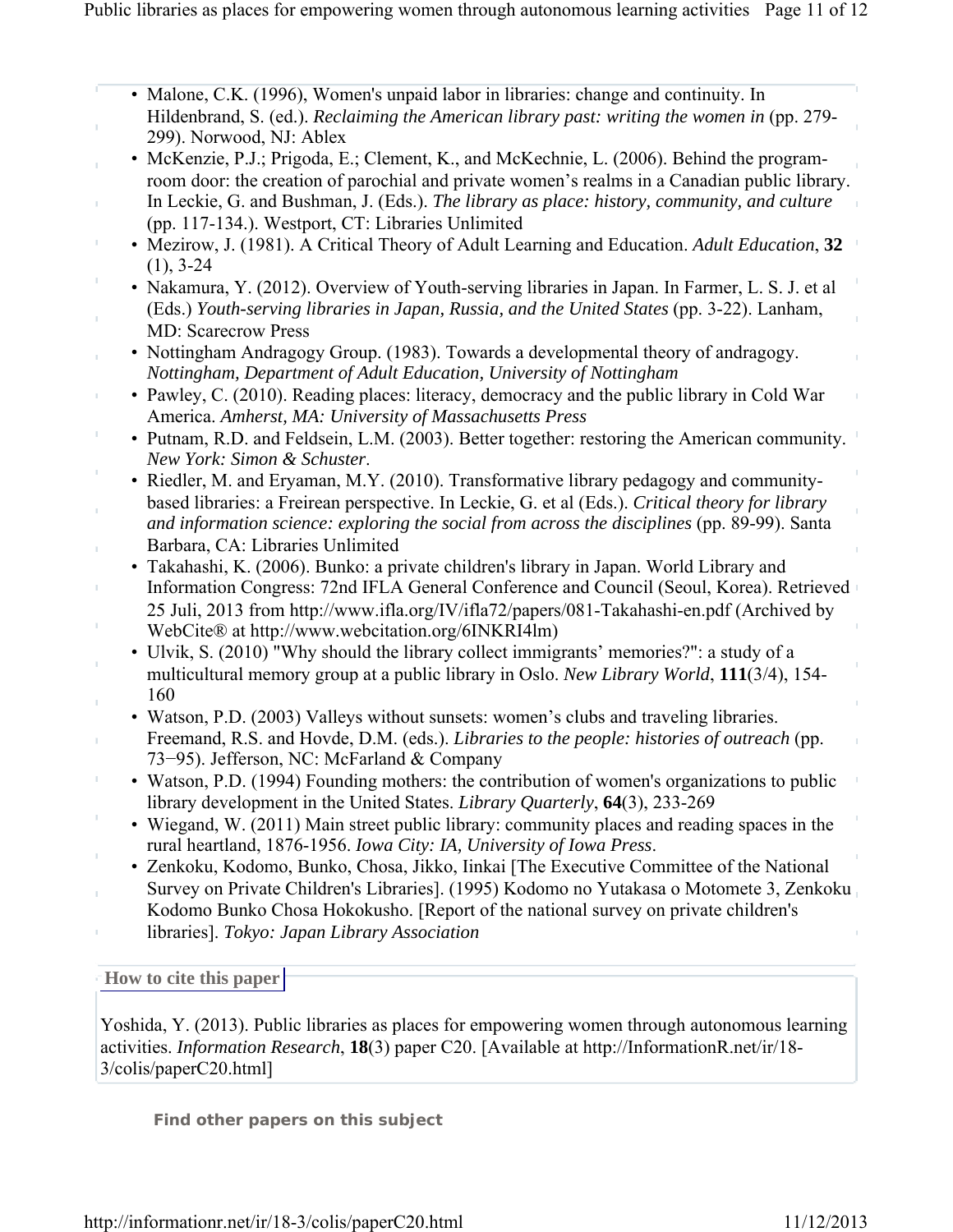- Malone, C.K. (1996), Women's unpaid labor in libraries: change and continuity. In Hildenbrand, S. (ed.). *Reclaiming the American library past: writing the women in* (pp. 279- 299). Norwood, NJ: Ablex
- McKenzie, P.J.; Prigoda, E.; Clement, K., and McKechnie, L. (2006). Behind the programroom door: the creation of parochial and private women's realms in a Canadian public library.
	- In Leckie, G. and Bushman, J. (Eds.). *The library as place: history, community, and culture* (pp. 117-134.). Westport, CT: Libraries Unlimited
- Mezirow, J. (1981). A Critical Theory of Adult Learning and Education. *Adult Education*, **32** (1), 3-24
- Nakamura, Y. (2012). Overview of Youth-serving libraries in Japan. In Farmer, L. S. J. et al (Eds.) *Youth-serving libraries in Japan, Russia, and the United States* (pp. 3-22). Lanham, MD: Scarecrow Press
- Nottingham Andragogy Group. (1983). Towards a developmental theory of andragogy. *Nottingham, Department of Adult Education, University of Nottingham*
- Pawley, C. (2010). Reading places: literacy, democracy and the public library in Cold War America. *Amherst, MA: University of Massachusetts Press*
- Putnam, R.D. and Feldsein, L.M. (2003). Better together: restoring the American community. *New York: Simon & Schuster*.
- Riedler, M. and Eryaman, M.Y. (2010). Transformative library pedagogy and communitybased libraries: a Freirean perspective. In Leckie, G. et al (Eds.). *Critical theory for library and information science: exploring the social from across the disciplines* (pp. 89-99). Santa Barbara, CA: Libraries Unlimited
- Takahashi, K. (2006). Bunko: a private children's library in Japan. World Library and Information Congress: 72nd IFLA General Conference and Council (Seoul, Korea). Retrieved 25 Juli, 2013 from http://www.ifla.org/IV/ifla72/papers/081-Takahashi-en.pdf (Archived by WebCite® at http://www.webcitation.org/6INKRI4lm)
- Ulvik, S. (2010) "Why should the library collect immigrants' memories?": a study of a multicultural memory group at a public library in Oslo. *New Library World*, **111**(3/4), 154- 160
- Watson, P.D. (2003) Valleys without sunsets: women's clubs and traveling libraries. Freemand, R.S. and Hovde, D.M. (eds.). *Libraries to the people: histories of outreach* (pp. 73−95). Jefferson, NC: McFarland & Company
- Watson, P.D. (1994) Founding mothers: the contribution of women's organizations to public library development in the United States. *Library Quarterly*, **64**(3), 233-269
- Wiegand, W. (2011) Main street public library: community places and reading spaces in the rural heartland, 1876-1956. *Iowa City: IA, University of Iowa Press*.
- Zenkoku, Kodomo, Bunko, Chosa, Jikko, Iinkai [The Executive Committee of the National Survey on Private Children's Libraries]. (1995) Kodomo no Yutakasa o Motomete 3, Zenkoku Kodomo Bunko Chosa Hokokusho. [Report of the national survey on private children's libraries]. *Tokyo: Japan Library Association*

**How to cite this paper** 

Ĭ.

I

Yoshida, Y. (2013). Public libraries as places for empowering women through autonomous learning activities. *Information Research*, **18**(3) paper C20. [Available at http://InformationR.net/ir/18- 3/colis/paperC20.html]

**Find other papers on this subject**